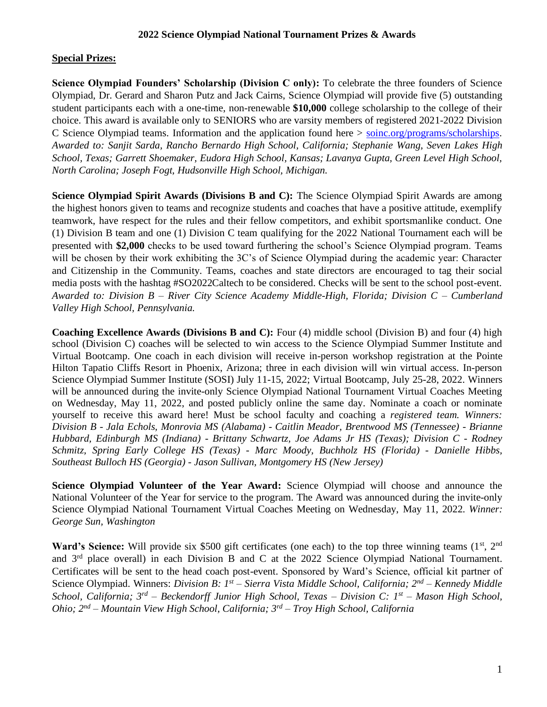## **Special Prizes:**

Science Olympiad Founders' Scholarship (Division C only): To celebrate the three founders of Science Olympiad, Dr. Gerard and Sharon Putz and Jack Cairns, Science Olympiad will provide five (5) outstanding student participants each with a one-time, non-renewable **\$10,000** college scholarship to the college of their choice. This award is available only to SENIORS who are varsity members of registered 2021-2022 Division C Science Olympiad teams. Information and the application found here > [soinc.org/programs/scholarships.](https://www.soinc.org/programs/scholarships) *Awarded to: Sanjit Sarda, Rancho Bernardo High School, California; Stephanie Wang, Seven Lakes High School, Texas; Garrett Shoemaker, Eudora High School, Kansas; Lavanya Gupta, Green Level High School, North Carolina; Joseph Fogt, Hudsonville High School, Michigan.*

**Science Olympiad Spirit Awards (Divisions B and C):** The Science Olympiad Spirit Awards are among the highest honors given to teams and recognize students and coaches that have a positive attitude, exemplify teamwork, have respect for the rules and their fellow competitors, and exhibit sportsmanlike conduct. One (1) Division B team and one (1) Division C team qualifying for the 2022 National Tournament each will be presented with **\$2,000** checks to be used toward furthering the school's Science Olympiad program. Teams will be chosen by their work exhibiting the 3C's of Science Olympiad during the academic year: Character and Citizenship in the Community. Teams, coaches and state directors are encouraged to tag their social media posts with the hashtag #SO2022Caltech to be considered. Checks will be sent to the school post-event. *Awarded to: Division B – River City Science Academy Middle-High, Florida; Division C – Cumberland Valley High School, Pennsylvania.*

**Coaching Excellence Awards (Divisions B and C):** Four (4) middle school (Division B) and four (4) high school (Division C) coaches will be selected to win access to the Science Olympiad Summer Institute and Virtual Bootcamp. One coach in each division will receive in-person workshop registration at the Pointe Hilton Tapatio Cliffs Resort in Phoenix, Arizona; three in each division will win virtual access. In-person Science Olympiad Summer Institute (SOSI) July 11-15, 2022; Virtual Bootcamp, July 25-28, 2022. Winners will be announced during the invite-only Science Olympiad National Tournament Virtual Coaches Meeting on Wednesday, May 11, 2022, and posted publicly online the same day. Nominate a coach or nominate yourself to receive this award here! Must be school faculty and coaching a *registered team. Winners: Division B - Jala Echols, Monrovia MS (Alabama) - Caitlin Meador, Brentwood MS (Tennessee) - Brianne Hubbard, Edinburgh MS (Indiana) - Brittany Schwartz, Joe Adams Jr HS (Texas); Division C - Rodney Schmitz, Spring Early College HS (Texas) - Marc Moody, Buchholz HS (Florida) - Danielle Hibbs, Southeast Bulloch HS (Georgia) - Jason Sullivan, Montgomery HS (New Jersey)*

**Science Olympiad Volunteer of the Year Award:** Science Olympiad will choose and announce the National Volunteer of the Year for service to the program. The Award was announced during the invite-only Science Olympiad National Tournament Virtual Coaches Meeting on Wednesday, May 11, 2022. *Winner: George Sun, Washington*

**Ward's Science:** Will provide six \$500 gift certificates (one each) to the top three winning teams (1<sup>st</sup>, 2<sup>nd</sup>) and 3rd place overall) in each Division B and C at the 2022 Science Olympiad National Tournament. Certificates will be sent to the head coach post-event. Sponsored by Ward's Science, official kit partner of Science Olympiad. Winners: *Division B: 1st – Sierra Vista Middle School, California; 2nd – Kennedy Middle School, California; 3rd – Beckendorff Junior High School, Texas – Division C: 1st – Mason High School, Ohio; 2nd – Mountain View High School, California; 3rd – Troy High School, California*